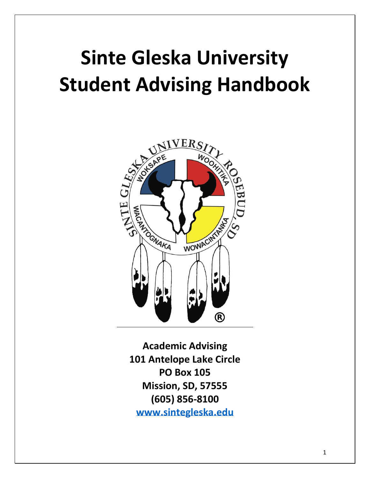# **Sinte Gleska University Student Advising Handbook**



**Academic Advising 101 Antelope Lake Circle PO Box 105 Mission, SD, 57555 (605) 856-8100 [www.sintegleska.edu](http://www.sintegleska.edu/)**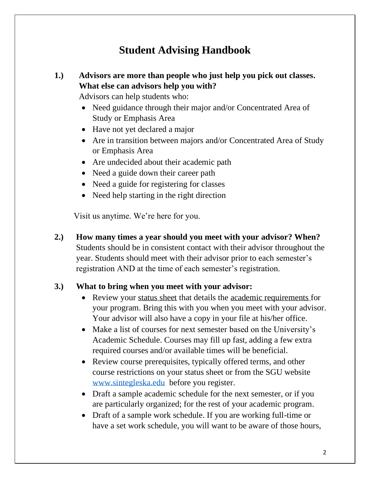# **Student Advising Handbook**

# **1.) Advisors are more than people who just help you pick out classes. What else can advisors help you with?**

Advisors can help students who:

- Need guidance through their major and/or Concentrated Area of Study or Emphasis Area
- Have not yet declared a major
- Are in transition between majors and/or Concentrated Area of Study or Emphasis Area
- Are undecided about their academic path
- Need a guide down their career path
- Need a guide for registering for classes
- Need help starting in the right direction

Visit us anytime. We're here for you.

**2.) How many times a year should you meet with your advisor? When?** Students should be in consistent contact with their advisor throughout the year. Students should meet with their advisor prior to each semester's registration AND at the time of each semester's registration.

# **3.) What to bring when you meet with your advisor:**

- Review your status sheet that details the academic requirements for your program. Bring this with you when you meet with your advisor. Your advisor will also have a copy in your file at his/her office.
- Make a list of courses for next semester based on the University's Academic Schedule. Courses may fill up fast, adding a few extra required courses and/or available times will be beneficial.
- Review course prerequisites, typically offered terms, and other course restrictions on your status sheet or from the SGU website [www.sintegleska.edu](http://www.sintegleska.edu/) before you register.
- Draft a sample academic schedule for the next semester, or if you are particularly organized; for the rest of your academic program.
- Draft of a sample work schedule. If you are working full-time or have a set work schedule, you will want to be aware of those hours,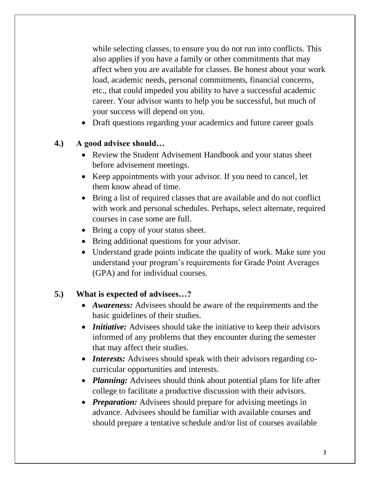while selecting classes, to ensure you do not run into conflicts. This also applies if you have a family or other commitments that may affect when you are available for classes. Be honest about your work load, academic needs, personal commitments, financial concerns, etc., that could impeded you ability to have a successful academic career. Your advisor wants to help you be successful, but much of your success will depend on you.

• Draft questions regarding your academics and future career goals

# **4.) A good advisee should…**

- Review the Student Advisement Handbook and your status sheet before advisement meetings.
- Keep appointments with your advisor. If you need to cancel, let them know ahead of time.
- Bring a list of required classes that are available and do not conflict with work and personal schedules. Perhaps, select alternate, required courses in case some are full.
- Bring a copy of your status sheet.
- Bring additional questions for your advisor.
- Understand grade points indicate the quality of work. Make sure you understand your program's requirements for Grade Point Averages (GPA) and for individual courses.

# **5.) What is expected of advisees…?**

- *Awareness:* Advisees should be aware of the requirements and the basic guidelines of their studies.
- *Initiative:* Advisees should take the initiative to keep their advisors informed of any problems that they encounter during the semester that may affect their studies.
- *Interests:* Advisees should speak with their advisors regarding cocurricular opportunities and interests.
- *Planning:* Advisees should think about potential plans for life after college to facilitate a productive discussion with their advisors.
- *Preparation:* Advisees should prepare for advising meetings in advance. Advisees should be familiar with available courses and should prepare a tentative schedule and/or list of courses available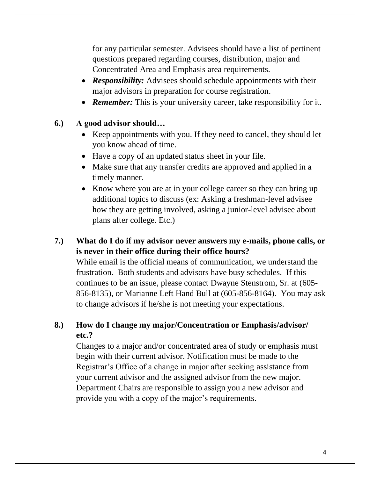for any particular semester. Advisees should have a list of pertinent questions prepared regarding courses, distribution, major and Concentrated Area and Emphasis area requirements.

- *Responsibility:* Advisees should schedule appointments with their major advisors in preparation for course registration.
- **Remember:** This is your university career, take responsibility for it.

#### **6.) A good advisor should…**

- Keep appointments with you. If they need to cancel, they should let you know ahead of time.
- Have a copy of an updated status sheet in your file.
- Make sure that any transfer credits are approved and applied in a timely manner.
- Know where you are at in your college career so they can bring up additional topics to discuss (ex: Asking a freshman-level advisee how they are getting involved, asking a junior-level advisee about plans after college. Etc.)

# **7.) What do I do if my advisor never answers my e-mails, phone calls, or is never in their office during their office hours?**

While email is the official means of communication, we understand the frustration. Both students and advisors have busy schedules. If this continues to be an issue, please contact Dwayne Stenstrom, Sr. at (605- 856-8135), or Marianne Left Hand Bull at (605-856-8164). You may ask to change advisors if he/she is not meeting your expectations.

# **8.) How do I change my major/Concentration or Emphasis/advisor/ etc.?**

Changes to a major and/or concentrated area of study or emphasis must begin with their current advisor. Notification must be made to the Registrar's Office of a change in major after seeking assistance from your current advisor and the assigned advisor from the new major. Department Chairs are responsible to assign you a new advisor and provide you with a copy of the major's requirements.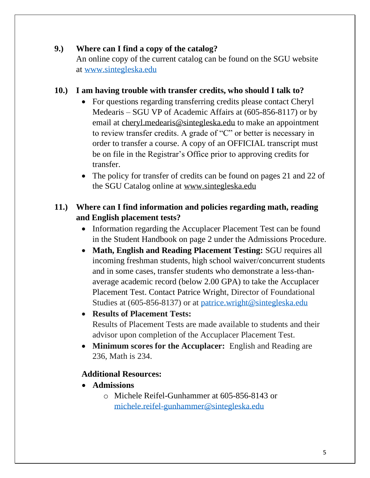# **9.) Where can I find a copy of the catalog?**

An online copy of the current catalog can be found on the SGU website at [www.sintegleska.edu](http://www.sintegleska.edu/)

# **10.) I am having trouble with transfer credits, who should I talk to?**

- For questions regarding transferring credits please contact Cheryl Medearis – SGU VP of Academic Affairs at (605-856-8117) or by email at [cheryl.medearis@sintegleska.edu](mailto:cheryl.medearis@sintegleska.edu) to make an appointment to review transfer credits. A grade of "C" or better is necessary in order to transfer a course. A copy of an OFFICIAL transcript must be on file in the Registrar's Office prior to approving credits for transfer.
- The policy for transfer of credits can be found on pages 21 and 22 of the SGU Catalog online at [www.sintegleska.edu](http://www.sintegleska.edu/)

# **11.) Where can I find information and policies regarding math, reading and English placement tests?**

- Information regarding the Accuplacer Placement Test can be found in the Student Handbook on page 2 under the Admissions Procedure.
- **Math, English and Reading Placement Testing:** SGU requires all incoming freshman students, high school waiver/concurrent students and in some cases, transfer students who demonstrate a less-thanaverage academic record (below 2.00 GPA) to take the Accuplacer Placement Test. Contact Patrice Wright, Director of Foundational Studies at (605-856-8137) or at [patrice.wright@sintegleska.edu](mailto:patrice.wright@sintegleska.edu)

# • **Results of Placement Tests:** Results of Placement Tests are made available to students and their advisor upon completion of the Accuplacer Placement Test.

• **Minimum scores for the Accuplacer:** English and Reading are 236, Math is 234.

# **Additional Resources:**

- **Admissions** 
	- o Michele Reifel-Gunhammer at 605-856-8143 or [michele.reifel-gunhammer@sintegleska.edu](mailto:michele.reifel-gunhammer@sintegleska.edu)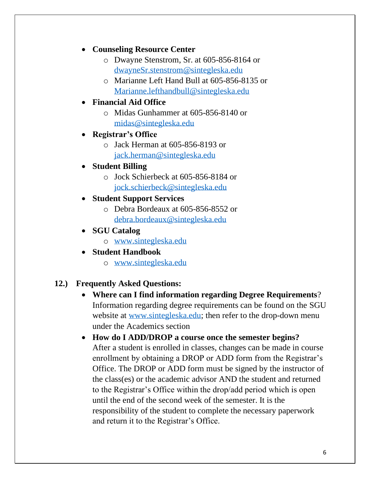# • **Counseling Resource Center**

- o Dwayne Stenstrom, Sr. at 605-856-8164 or [dwayneSr.stenstrom@sintegleska.edu](mailto:dwayneSr.stenstrom@sintegleska.edu)
- o Marianne Left Hand Bull at 605-856-8135 or [Marianne.lefthandbull@sintegleska.edu](mailto:Marianne.lefthandbull@sintegleska.edu)

# • **Financial Aid Office**

o Midas Gunhammer at 605-856-8140 or [midas@sintegleska.edu](mailto:midas@sintegleska.edu)

#### • **Registrar's Office**

o Jack Herman at 605-856-8193 or [jack.herman@sintegleska.edu](mailto:jack.herman@sintegleska.edu)

# • **Student Billing**

- o Jock Schierbeck at 605-856-8184 or [jock.schierbeck@sintegleska.edu](mailto:jock.schierbeck@sintegleska.edu)
- **Student Support Services** 
	- o Debra Bordeaux at 605-856-8552 or [debra.bordeaux@sintegleska.edu](mailto:debra.bordeaux@sintegleska.edu)

#### • **SGU Catalog**

- o [www.sintegleska.edu](http://www.sintegleska.edu/)
- **Student Handbook**
	- o [www.sintegleska.edu](http://www.sintegleska.edu/)

# **12.) Frequently Asked Questions:**

- **Where can I find information regarding Degree Requirements**? Information regarding degree requirements can be found on the SGU website at [www.sintegleska.edu;](http://www.sintegleska.edu/) then refer to the drop-down menu under the Academics section
- **How do I ADD/DROP a course once the semester begins?** After a student is enrolled in classes, changes can be made in course enrollment by obtaining a DROP or ADD form from the Registrar's Office. The DROP or ADD form must be signed by the instructor of the class(es) or the academic advisor AND the student and returned to the Registrar's Office within the drop/add period which is open until the end of the second week of the semester. It is the responsibility of the student to complete the necessary paperwork and return it to the Registrar's Office.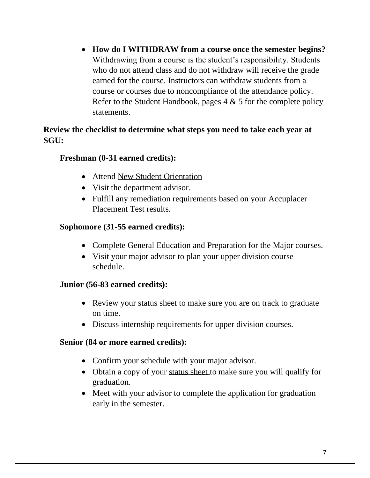• **How do I WITHDRAW from a course once the semester begins?** Withdrawing from a course is the student's responsibility. Students who do not attend class and do not withdraw will receive the grade earned for the course. Instructors can withdraw students from a course or courses due to noncompliance of the attendance policy. Refer to the Student Handbook, pages  $4 \& 5$  for the complete policy statements.

# **Review the checklist to determine what steps you need to take each year at SGU:**

# **Freshman (0-31 earned credits):**

- Attend New Student Orientation
- Visit the department advisor.
- Fulfill any remediation requirements based on your Accuplacer Placement Test results.

# **Sophomore (31-55 earned credits):**

- Complete General Education and Preparation for the Major courses.
- Visit your major advisor to plan your upper division course schedule.

# **Junior (56-83 earned credits):**

- Review your status sheet to make sure you are on track to graduate on time.
- Discuss internship requirements for upper division courses.

#### **Senior (84 or more earned credits):**

- Confirm your schedule with your major advisor.
- Obtain a copy of your status sheet to make sure you will qualify for graduation.
- Meet with your advisor to complete the application for graduation early in the semester.